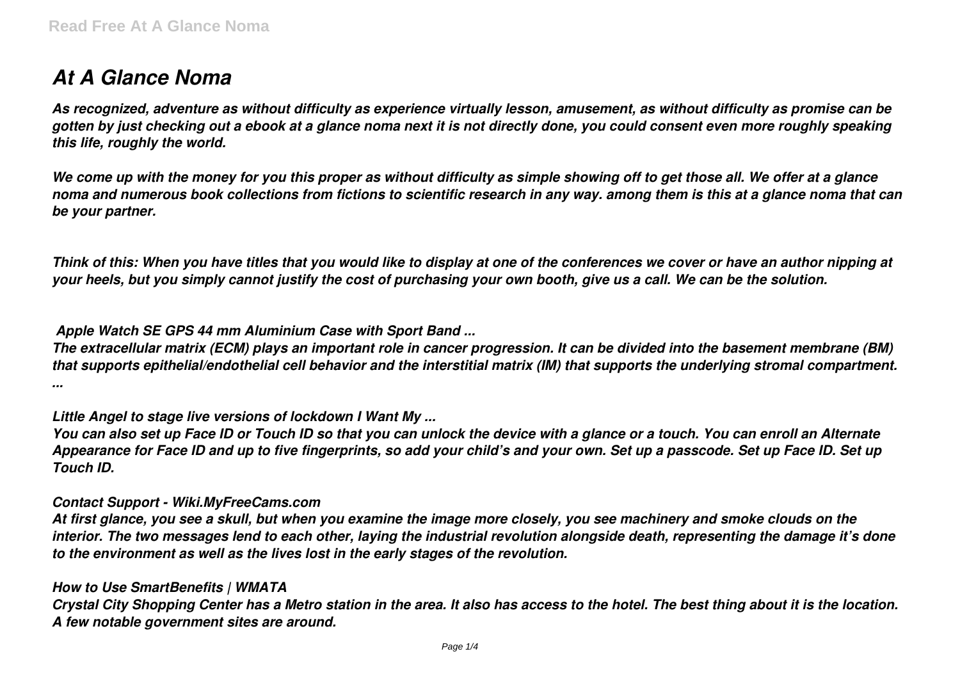# *At A Glance Noma*

*As recognized, adventure as without difficulty as experience virtually lesson, amusement, as without difficulty as promise can be gotten by just checking out a ebook at a glance noma next it is not directly done, you could consent even more roughly speaking this life, roughly the world.*

*We come up with the money for you this proper as without difficulty as simple showing off to get those all. We offer at a glance noma and numerous book collections from fictions to scientific research in any way. among them is this at a glance noma that can be your partner.*

*Think of this: When you have titles that you would like to display at one of the conferences we cover or have an author nipping at your heels, but you simply cannot justify the cost of purchasing your own booth, give us a call. We can be the solution.*

*Apple Watch SE GPS 44 mm Aluminium Case with Sport Band ...*

*The extracellular matrix (ECM) plays an important role in cancer progression. It can be divided into the basement membrane (BM) that supports epithelial/endothelial cell behavior and the interstitial matrix (IM) that supports the underlying stromal compartment. ...*

*Little Angel to stage live versions of lockdown I Want My ...*

*You can also set up Face ID or Touch ID so that you can unlock the device with a glance or a touch. You can enroll an Alternate Appearance for Face ID and up to five fingerprints, so add your child's and your own. Set up a passcode. Set up Face ID. Set up Touch ID.*

#### *Contact Support - Wiki.MyFreeCams.com*

*At first glance, you see a skull, but when you examine the image more closely, you see machinery and smoke clouds on the interior. The two messages lend to each other, laying the industrial revolution alongside death, representing the damage it's done to the environment as well as the lives lost in the early stages of the revolution.*

## *How to Use SmartBenefits | WMATA*

*Crystal City Shopping Center has a Metro station in the area. It also has access to the hotel. The best thing about it is the location. A few notable government sites are around.*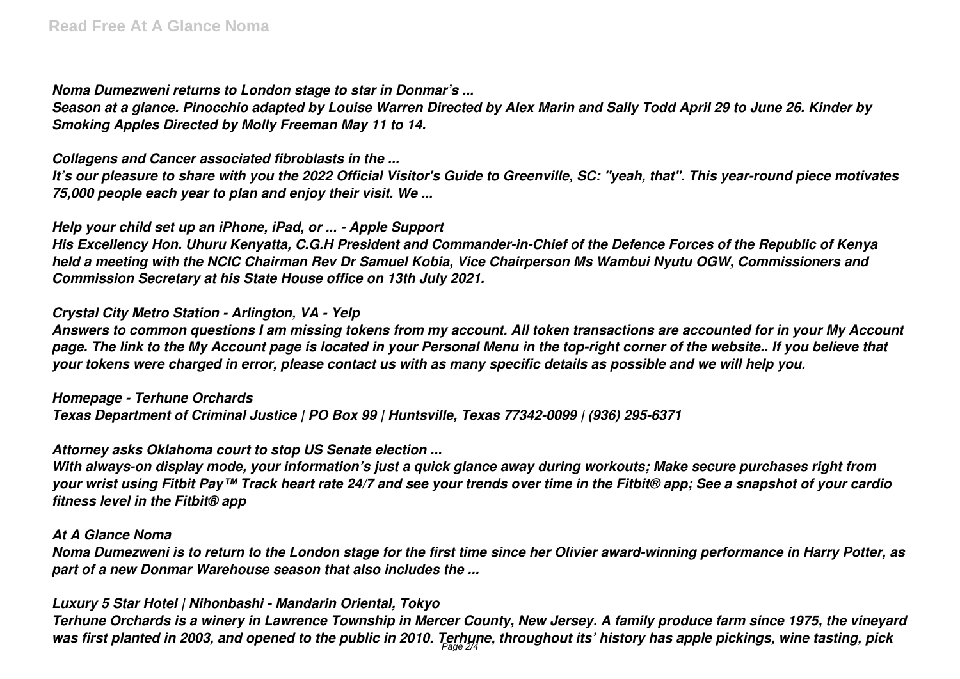*Noma Dumezweni returns to London stage to star in Donmar's ...*

*Season at a glance. Pinocchio adapted by Louise Warren Directed by Alex Marin and Sally Todd April 29 to June 26. Kinder by Smoking Apples Directed by Molly Freeman May 11 to 14.*

*Collagens and Cancer associated fibroblasts in the ...*

*It's our pleasure to share with you the 2022 Official Visitor's Guide to Greenville, SC: "yeah, that". This year-round piece motivates 75,000 people each year to plan and enjoy their visit. We ...*

# *Help your child set up an iPhone, iPad, or ... - Apple Support*

*His Excellency Hon. Uhuru Kenyatta, C.G.H President and Commander-in-Chief of the Defence Forces of the Republic of Kenya held a meeting with the NCIC Chairman Rev Dr Samuel Kobia, Vice Chairperson Ms Wambui Nyutu OGW, Commissioners and Commission Secretary at his State House office on 13th July 2021.*

# *Crystal City Metro Station - Arlington, VA - Yelp*

*Answers to common questions I am missing tokens from my account. All token transactions are accounted for in your My Account page. The link to the My Account page is located in your Personal Menu in the top-right corner of the website.. If you believe that your tokens were charged in error, please contact us with as many specific details as possible and we will help you.*

## *Homepage - Terhune Orchards*

*Texas Department of Criminal Justice | PO Box 99 | Huntsville, Texas 77342-0099 | (936) 295-6371*

## *Attorney asks Oklahoma court to stop US Senate election ...*

*With always-on display mode, your information's just a quick glance away during workouts; Make secure purchases right from your wrist using Fitbit Pay™ Track heart rate 24/7 and see your trends over time in the Fitbit® app; See a snapshot of your cardio fitness level in the Fitbit® app*

#### *At A Glance Noma*

*Noma Dumezweni is to return to the London stage for the first time since her Olivier award-winning performance in Harry Potter, as part of a new Donmar Warehouse season that also includes the ...*

## *Luxury 5 Star Hotel | Nihonbashi - Mandarin Oriental, Tokyo*

*Terhune Orchards is a winery in Lawrence Township in Mercer County, New Jersey. A family produce farm since 1975, the vineyard was first planted in 2003, and opened to the public in 2010. Terhune, throughout its' history has apple pickings, wine tasting, pick* Page 2/4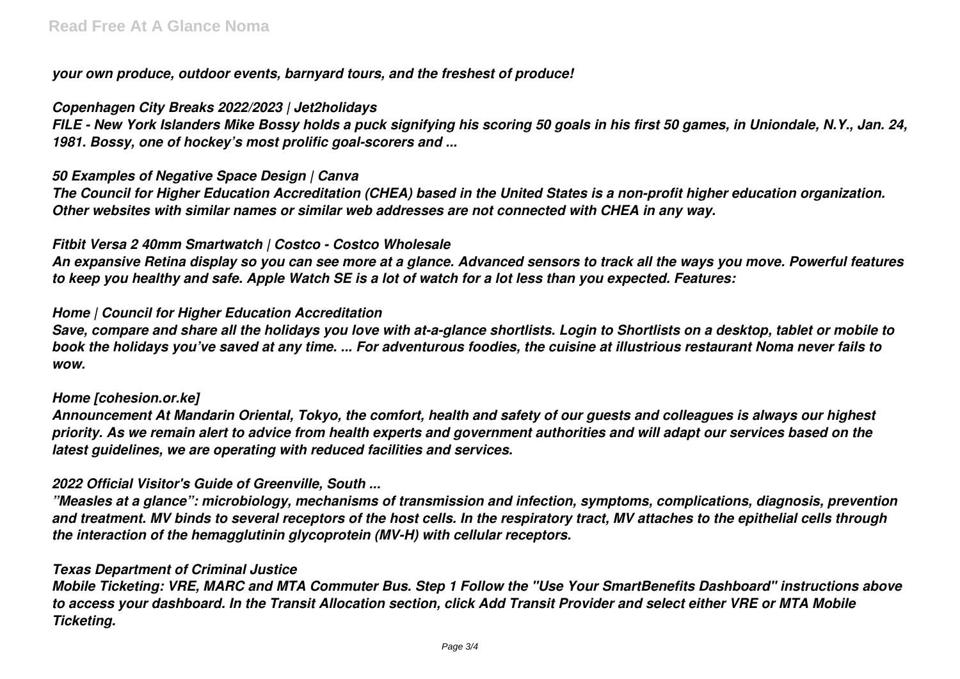*your own produce, outdoor events, barnyard tours, and the freshest of produce!*

#### *Copenhagen City Breaks 2022/2023 | Jet2holidays*

*FILE - New York Islanders Mike Bossy holds a puck signifying his scoring 50 goals in his first 50 games, in Uniondale, N.Y., Jan. 24, 1981. Bossy, one of hockey's most prolific goal-scorers and ...*

## *50 Examples of Negative Space Design | Canva*

*The Council for Higher Education Accreditation (CHEA) based in the United States is a non-profit higher education organization. Other websites with similar names or similar web addresses are not connected with CHEA in any way.*

## *Fitbit Versa 2 40mm Smartwatch | Costco - Costco Wholesale*

*An expansive Retina display so you can see more at a glance. Advanced sensors to track all the ways you move. Powerful features to keep you healthy and safe. Apple Watch SE is a lot of watch for a lot less than you expected. Features:*

#### *Home | Council for Higher Education Accreditation*

*Save, compare and share all the holidays you love with at-a-glance shortlists. Login to Shortlists on a desktop, tablet or mobile to book the holidays you've saved at any time. ... For adventurous foodies, the cuisine at illustrious restaurant Noma never fails to wow.*

#### *Home [cohesion.or.ke]*

*Announcement At Mandarin Oriental, Tokyo, the comfort, health and safety of our guests and colleagues is always our highest priority. As we remain alert to advice from health experts and government authorities and will adapt our services based on the latest guidelines, we are operating with reduced facilities and services.*

## *2022 Official Visitor's Guide of Greenville, South ...*

*"Measles at a glance": microbiology, mechanisms of transmission and infection, symptoms, complications, diagnosis, prevention and treatment. MV binds to several receptors of the host cells. In the respiratory tract, MV attaches to the epithelial cells through the interaction of the hemagglutinin glycoprotein (MV-H) with cellular receptors.*

#### *Texas Department of Criminal Justice*

*Mobile Ticketing: VRE, MARC and MTA Commuter Bus. Step 1 Follow the "Use Your SmartBenefits Dashboard" instructions above to access your dashboard. In the Transit Allocation section, click Add Transit Provider and select either VRE or MTA Mobile Ticketing.*